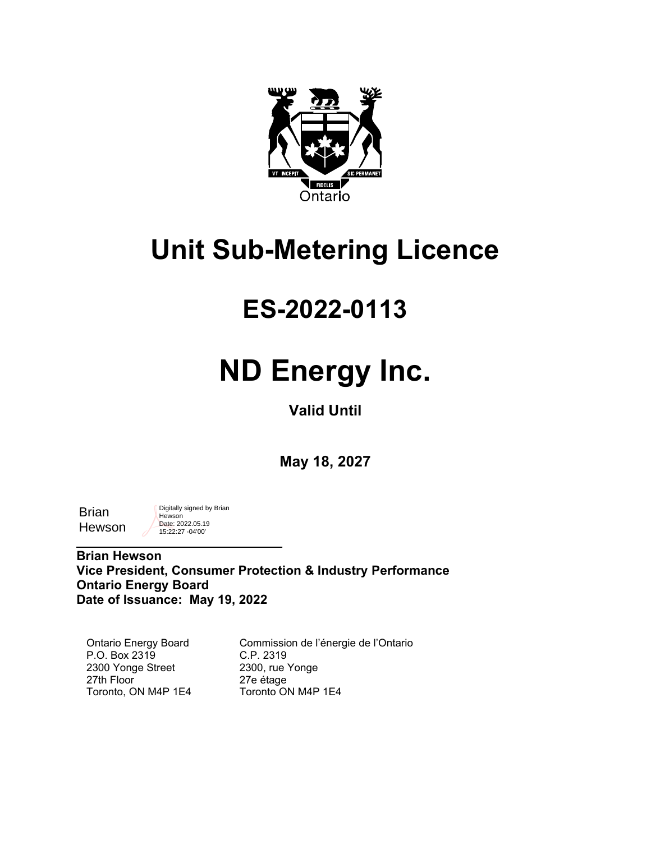

## **Unit Sub-Metering Licence**

### **ES-2022-0113**

# **ND Energy Inc.**

**Valid Until**

**May 18, 2027**

| Brian  |  |
|--------|--|
| Hewson |  |

Digitally signed by Brian **Hewson** Date: 2022.05.19 15:22:27 -04'00'

 $\mathcal{L}=\{1,2,3,4,5\}$ 

**Brian Hewson Vice President, Consumer Protection & Industry Performance Ontario Energy Board Date of Issuance: May 19, 2022**

Ontario Energy Board P.O. Box 2319 2300 Yonge Street 27th Floor Toronto, ON M4P 1E4

Commission de l'énergie de l'Ontario C.P. 2319 2300, rue Yonge 27e étage Toronto ON M4P 1E4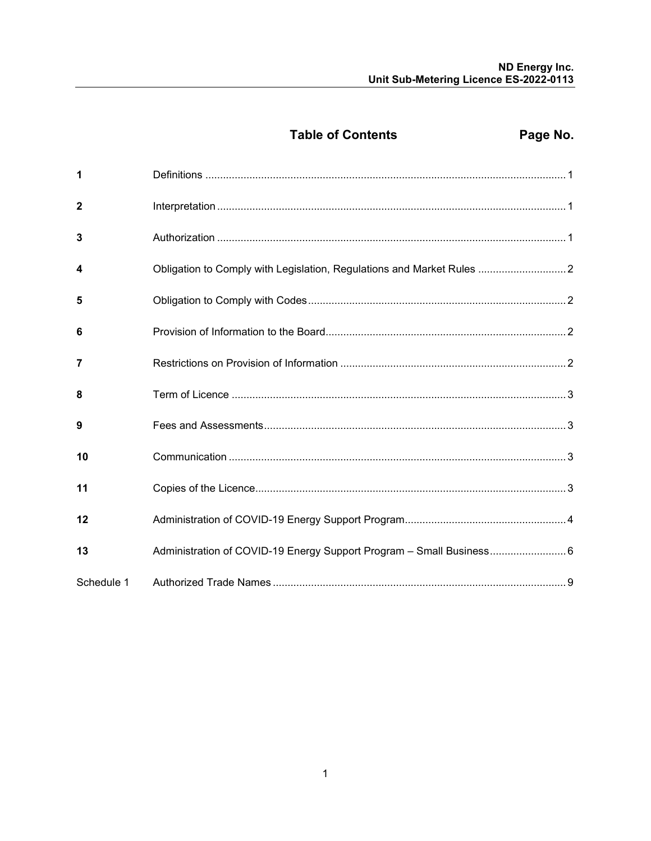Page No.

| 1              |                                                                        |  |
|----------------|------------------------------------------------------------------------|--|
| $\overline{2}$ |                                                                        |  |
| 3              |                                                                        |  |
| 4              | Obligation to Comply with Legislation, Regulations and Market Rules  2 |  |
| 5              |                                                                        |  |
| 6              |                                                                        |  |
| 7              |                                                                        |  |
| 8              |                                                                        |  |
| 9              |                                                                        |  |
| 10             |                                                                        |  |
| 11             |                                                                        |  |
| 12             |                                                                        |  |
| 13             | Administration of COVID-19 Energy Support Program - Small Business 6   |  |
| Schedule 1     |                                                                        |  |

**Table of Contents**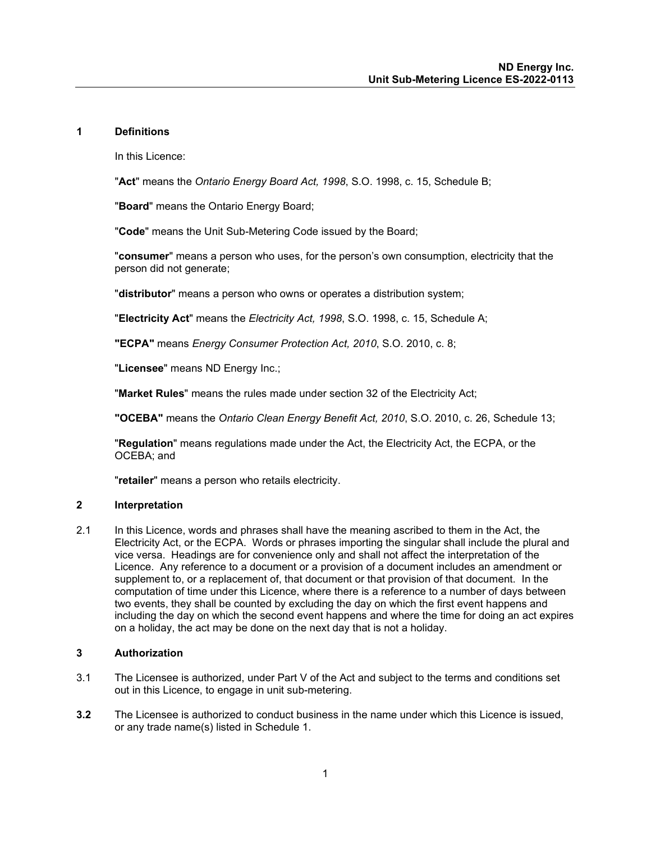#### <span id="page-2-0"></span>**1 Definitions**

In this Licence:

"**Act**" means the *Ontario Energy Board Act, 1998*, S.O. 1998, c. 15, Schedule B;

"**Board**" means the Ontario Energy Board;

"**Code**" means the Unit Sub-Metering Code issued by the Board;

"**consumer**" means a person who uses, for the person's own consumption, electricity that the person did not generate;

"**distributor**" means a person who owns or operates a distribution system;

"**Electricity Act**" means the *Electricity Act, 1998*, S.O. 1998, c. 15, Schedule A;

**"ECPA"** means *Energy Consumer Protection Act, 2010*, S.O. 2010, c. 8;

"**Licensee**" means ND Energy Inc.;

"**Market Rules**" means the rules made under section 32 of the Electricity Act;

**"OCEBA"** means the *Ontario Clean Energy Benefit Act, 2010*, S.O. 2010, c. 26, Schedule 13;

"**Regulation**" means regulations made under the Act, the Electricity Act, the ECPA, or the OCEBA; and

"**retailer**" means a person who retails electricity.

#### <span id="page-2-1"></span>**2 Interpretation**

2.1 In this Licence, words and phrases shall have the meaning ascribed to them in the Act, the Electricity Act, or the ECPA. Words or phrases importing the singular shall include the plural and vice versa. Headings are for convenience only and shall not affect the interpretation of the Licence. Any reference to a document or a provision of a document includes an amendment or supplement to, or a replacement of, that document or that provision of that document. In the computation of time under this Licence, where there is a reference to a number of days between two events, they shall be counted by excluding the day on which the first event happens and including the day on which the second event happens and where the time for doing an act expires on a holiday, the act may be done on the next day that is not a holiday.

#### <span id="page-2-2"></span>**3 Authorization**

- 3.1 The Licensee is authorized, under Part V of the Act and subject to the terms and conditions set out in this Licence, to engage in unit sub-metering.
- **3.2** The Licensee is authorized to conduct business in the name under which this Licence is issued, or any trade name(s) listed in Schedule 1.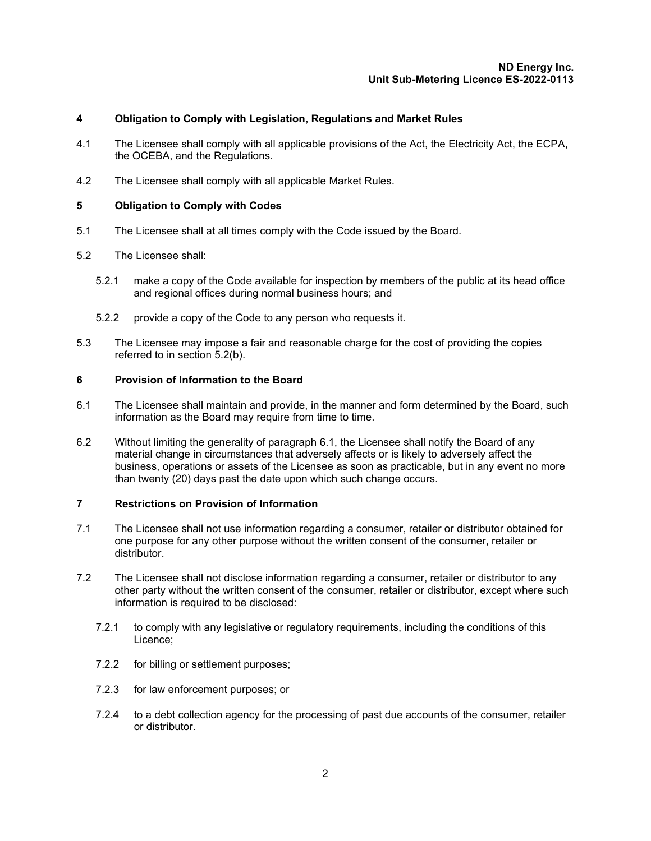#### <span id="page-3-0"></span>**4 Obligation to Comply with Legislation, Regulations and Market Rules**

- 4.1 The Licensee shall comply with all applicable provisions of the Act, the Electricity Act, the ECPA, the OCEBA, and the Regulations.
- 4.2 The Licensee shall comply with all applicable Market Rules.

#### <span id="page-3-1"></span>**5 Obligation to Comply with Codes**

- 5.1 The Licensee shall at all times comply with the Code issued by the Board.
- 5.2 The Licensee shall:
	- 5.2.1 make a copy of the Code available for inspection by members of the public at its head office and regional offices during normal business hours; and
	- 5.2.2 provide a copy of the Code to any person who requests it.
- 5.3 The Licensee may impose a fair and reasonable charge for the cost of providing the copies referred to in section 5.2(b).

#### <span id="page-3-2"></span>**6 Provision of Information to the Board**

- 6.1 The Licensee shall maintain and provide, in the manner and form determined by the Board, such information as the Board may require from time to time.
- 6.2 Without limiting the generality of paragraph 6.1, the Licensee shall notify the Board of any material change in circumstances that adversely affects or is likely to adversely affect the business, operations or assets of the Licensee as soon as practicable, but in any event no more than twenty (20) days past the date upon which such change occurs.

#### <span id="page-3-3"></span>**7 Restrictions on Provision of Information**

- 7.1 The Licensee shall not use information regarding a consumer, retailer or distributor obtained for one purpose for any other purpose without the written consent of the consumer, retailer or distributor.
- 7.2 The Licensee shall not disclose information regarding a consumer, retailer or distributor to any other party without the written consent of the consumer, retailer or distributor, except where such information is required to be disclosed:
	- 7.2.1 to comply with any legislative or regulatory requirements, including the conditions of this Licence;
	- 7.2.2 for billing or settlement purposes;
	- 7.2.3 for law enforcement purposes; or
	- 7.2.4 to a debt collection agency for the processing of past due accounts of the consumer, retailer or distributor.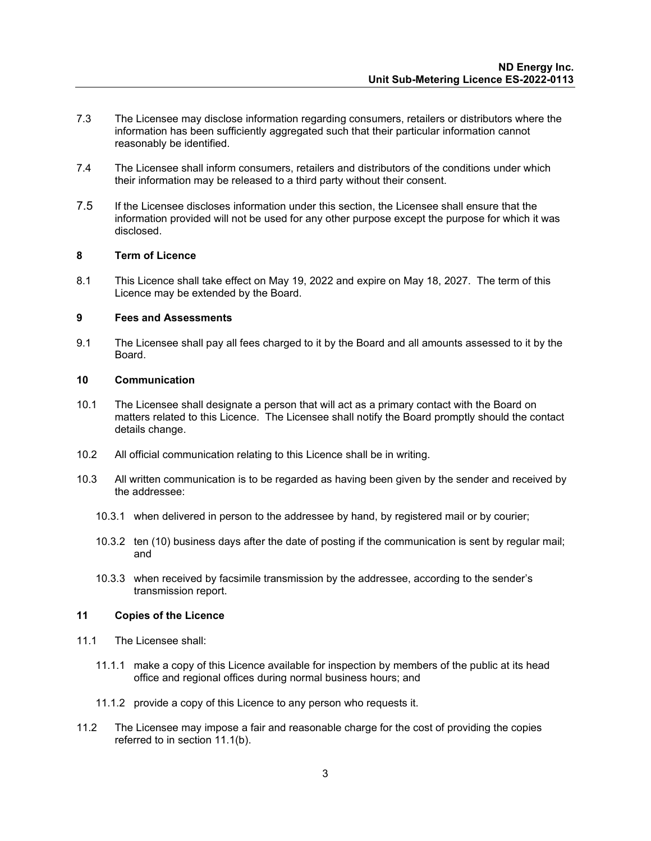- 7.3 The Licensee may disclose information regarding consumers, retailers or distributors where the information has been sufficiently aggregated such that their particular information cannot reasonably be identified.
- 7.4 The Licensee shall inform consumers, retailers and distributors of the conditions under which their information may be released to a third party without their consent.
- 7.5 If the Licensee discloses information under this section, the Licensee shall ensure that the information provided will not be used for any other purpose except the purpose for which it was disclosed.

#### <span id="page-4-0"></span>**8 Term of Licence**

8.1 This Licence shall take effect on May 19, 2022 and expire on May 18, 2027. The term of this Licence may be extended by the Board.

#### <span id="page-4-1"></span>**9 Fees and Assessments**

9.1 The Licensee shall pay all fees charged to it by the Board and all amounts assessed to it by the Board.

#### <span id="page-4-2"></span>**10 Communication**

- 10.1 The Licensee shall designate a person that will act as a primary contact with the Board on matters related to this Licence. The Licensee shall notify the Board promptly should the contact details change.
- 10.2 All official communication relating to this Licence shall be in writing.
- 10.3 All written communication is to be regarded as having been given by the sender and received by the addressee:
	- 10.3.1 when delivered in person to the addressee by hand, by registered mail or by courier;
	- 10.3.2 ten (10) business days after the date of posting if the communication is sent by regular mail; and
	- 10.3.3 when received by facsimile transmission by the addressee, according to the sender's transmission report.

#### <span id="page-4-3"></span>**11 Copies of the Licence**

- 11.1 The Licensee shall:
	- 11.1.1 make a copy of this Licence available for inspection by members of the public at its head office and regional offices during normal business hours; and
	- 11.1.2 provide a copy of this Licence to any person who requests it.
- 11.2 The Licensee may impose a fair and reasonable charge for the cost of providing the copies referred to in section 11.1(b).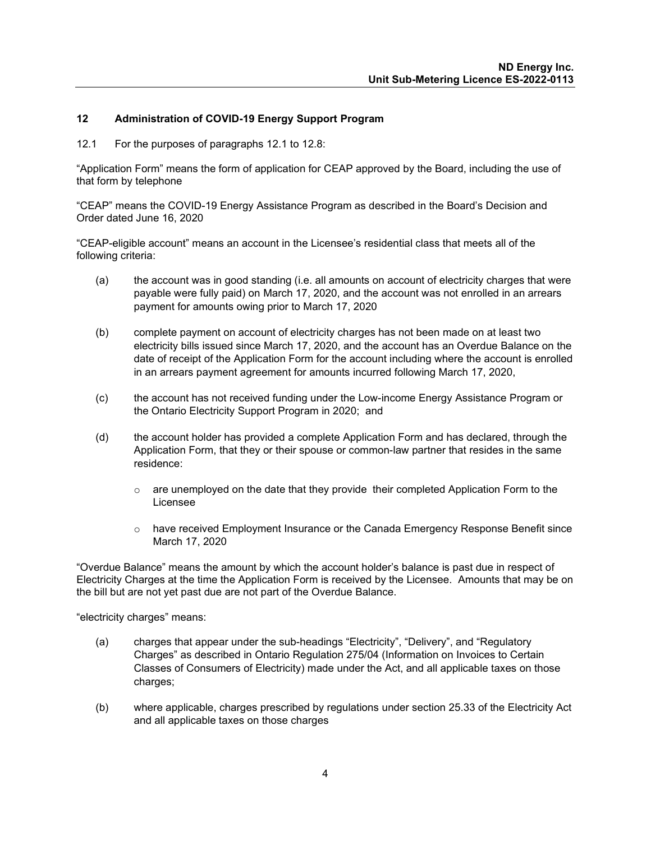#### <span id="page-5-0"></span>**12 Administration of COVID-19 Energy Support Program**

12.1 For the purposes of paragraphs 12.1 to 12.8:

"Application Form" means the form of application for CEAP approved by the Board, including the use of that form by telephone

"CEAP" means the COVID-19 Energy Assistance Program as described in the Board's Decision and Order dated June 16, 2020

"CEAP-eligible account" means an account in the Licensee's residential class that meets all of the following criteria:

- (a) the account was in good standing (i.e. all amounts on account of electricity charges that were payable were fully paid) on March 17, 2020, and the account was not enrolled in an arrears payment for amounts owing prior to March 17, 2020
- (b) complete payment on account of electricity charges has not been made on at least two electricity bills issued since March 17, 2020, and the account has an Overdue Balance on the date of receipt of the Application Form for the account including where the account is enrolled in an arrears payment agreement for amounts incurred following March 17, 2020,
- (c) the account has not received funding under the Low-income Energy Assistance Program or the Ontario Electricity Support Program in 2020; and
- (d) the account holder has provided a complete Application Form and has declared, through the Application Form, that they or their spouse or common-law partner that resides in the same residence:
	- $\circ$  are unemployed on the date that they provide their completed Application Form to the Licensee
	- $\circ$  have received Employment Insurance or the Canada Emergency Response Benefit since March 17, 2020

"Overdue Balance" means the amount by which the account holder's balance is past due in respect of Electricity Charges at the time the Application Form is received by the Licensee. Amounts that may be on the bill but are not yet past due are not part of the Overdue Balance.

"electricity charges" means:

- (a) charges that appear under the sub-headings "Electricity", "Delivery", and "Regulatory Charges" as described in Ontario Regulation 275/04 (Information on Invoices to Certain Classes of Consumers of Electricity) made under the Act, and all applicable taxes on those charges;
- (b) where applicable, charges prescribed by regulations under section 25.33 of the Electricity Act and all applicable taxes on those charges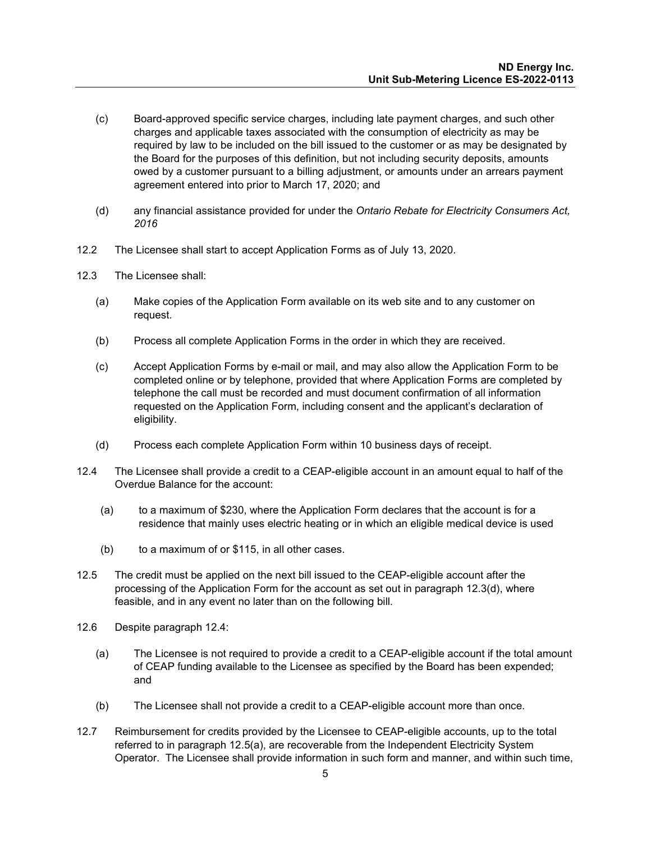- (c) Board-approved specific service charges, including late payment charges, and such other charges and applicable taxes associated with the consumption of electricity as may be required by law to be included on the bill issued to the customer or as may be designated by the Board for the purposes of this definition, but not including security deposits, amounts owed by a customer pursuant to a billing adjustment, or amounts under an arrears payment agreement entered into prior to March 17, 2020; and
- (d) any financial assistance provided for under the *Ontario Rebate for Electricity Consumers Act, 2016*
- 12.2 The Licensee shall start to accept Application Forms as of July 13, 2020.
- 12.3 The Licensee shall:
	- (a) Make copies of the Application Form available on its web site and to any customer on request.
	- (b) Process all complete Application Forms in the order in which they are received.
	- (c) Accept Application Forms by e-mail or mail, and may also allow the Application Form to be completed online or by telephone, provided that where Application Forms are completed by telephone the call must be recorded and must document confirmation of all information requested on the Application Form, including consent and the applicant's declaration of eligibility.
	- (d) Process each complete Application Form within 10 business days of receipt.
- 12.4 The Licensee shall provide a credit to a CEAP-eligible account in an amount equal to half of the Overdue Balance for the account:
	- (a) to a maximum of \$230, where the Application Form declares that the account is for a residence that mainly uses electric heating or in which an eligible medical device is used
	- (b) to a maximum of or \$115, in all other cases.
- 12.5 The credit must be applied on the next bill issued to the CEAP-eligible account after the processing of the Application Form for the account as set out in paragraph 12.3(d), where feasible, and in any event no later than on the following bill.
- 12.6 Despite paragraph 12.4:
	- (a) The Licensee is not required to provide a credit to a CEAP-eligible account if the total amount of CEAP funding available to the Licensee as specified by the Board has been expended; and
	- (b) The Licensee shall not provide a credit to a CEAP-eligible account more than once.
- 12.7 Reimbursement for credits provided by the Licensee to CEAP-eligible accounts, up to the total referred to in paragraph 12.5(a), are recoverable from the Independent Electricity System Operator. The Licensee shall provide information in such form and manner, and within such time,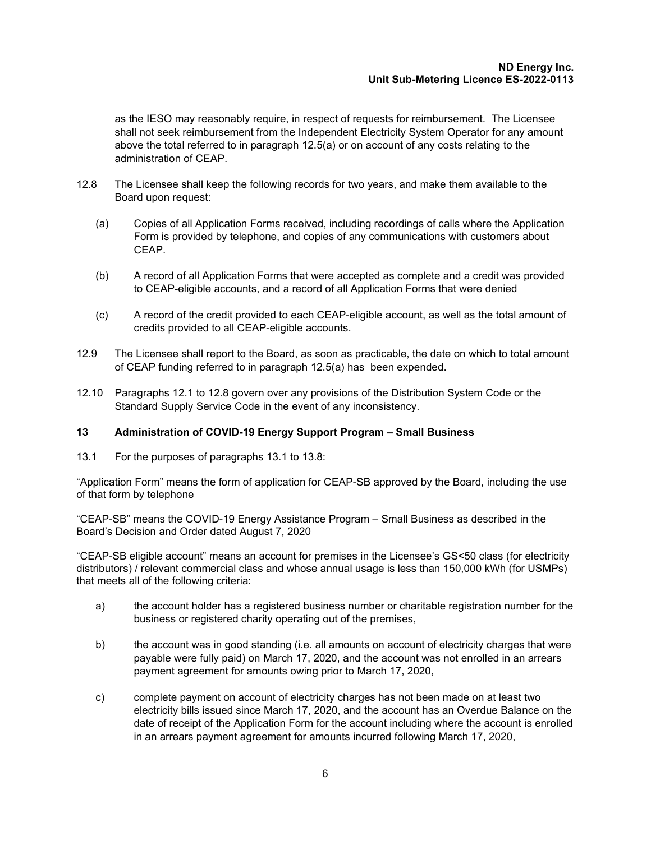as the IESO may reasonably require, in respect of requests for reimbursement. The Licensee shall not seek reimbursement from the Independent Electricity System Operator for any amount above the total referred to in paragraph 12.5(a) or on account of any costs relating to the administration of CEAP.

- 12.8 The Licensee shall keep the following records for two years, and make them available to the Board upon request:
	- (a) Copies of all Application Forms received, including recordings of calls where the Application Form is provided by telephone, and copies of any communications with customers about CEAP.
	- (b) A record of all Application Forms that were accepted as complete and a credit was provided to CEAP-eligible accounts, and a record of all Application Forms that were denied
	- (c) A record of the credit provided to each CEAP-eligible account, as well as the total amount of credits provided to all CEAP-eligible accounts.
- 12.9 The Licensee shall report to the Board, as soon as practicable, the date on which to total amount of CEAP funding referred to in paragraph 12.5(a) has been expended.
- 12.10 Paragraphs 12.1 to 12.8 govern over any provisions of the Distribution System Code or the Standard Supply Service Code in the event of any inconsistency.

#### <span id="page-7-0"></span>**13 Administration of COVID-19 Energy Support Program – Small Business**

13.1 For the purposes of paragraphs 13.1 to 13.8:

"Application Form" means the form of application for CEAP-SB approved by the Board, including the use of that form by telephone

"CEAP-SB" means the COVID-19 Energy Assistance Program – Small Business as described in the Board's Decision and Order dated August 7, 2020

"CEAP-SB eligible account" means an account for premises in the Licensee's GS<50 class (for electricity distributors) / relevant commercial class and whose annual usage is less than 150,000 kWh (for USMPs) that meets all of the following criteria:

- a) the account holder has a registered business number or charitable registration number for the business or registered charity operating out of the premises,
- b) the account was in good standing (i.e. all amounts on account of electricity charges that were payable were fully paid) on March 17, 2020, and the account was not enrolled in an arrears payment agreement for amounts owing prior to March 17, 2020,
- c) complete payment on account of electricity charges has not been made on at least two electricity bills issued since March 17, 2020, and the account has an Overdue Balance on the date of receipt of the Application Form for the account including where the account is enrolled in an arrears payment agreement for amounts incurred following March 17, 2020,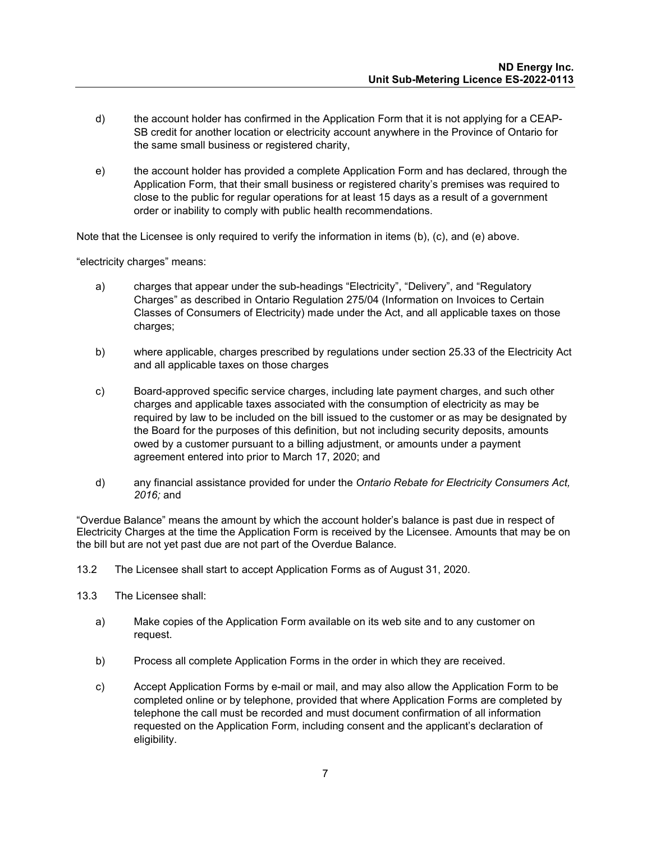- d) the account holder has confirmed in the Application Form that it is not applying for a CEAP-SB credit for another location or electricity account anywhere in the Province of Ontario for the same small business or registered charity,
- e) the account holder has provided a complete Application Form and has declared, through the Application Form, that their small business or registered charity's premises was required to close to the public for regular operations for at least 15 days as a result of a government order or inability to comply with public health recommendations.

Note that the Licensee is only required to verify the information in items (b), (c), and (e) above.

"electricity charges" means:

- a) charges that appear under the sub-headings "Electricity", "Delivery", and "Regulatory Charges" as described in Ontario Regulation 275/04 (Information on Invoices to Certain Classes of Consumers of Electricity) made under the Act, and all applicable taxes on those charges;
- b) where applicable, charges prescribed by regulations under section 25.33 of the Electricity Act and all applicable taxes on those charges
- c) Board-approved specific service charges, including late payment charges, and such other charges and applicable taxes associated with the consumption of electricity as may be required by law to be included on the bill issued to the customer or as may be designated by the Board for the purposes of this definition, but not including security deposits, amounts owed by a customer pursuant to a billing adjustment, or amounts under a payment agreement entered into prior to March 17, 2020; and
- d) any financial assistance provided for under the *Ontario Rebate for Electricity Consumers Act, 2016;* and

"Overdue Balance" means the amount by which the account holder's balance is past due in respect of Electricity Charges at the time the Application Form is received by the Licensee. Amounts that may be on the bill but are not yet past due are not part of the Overdue Balance.

13.2 The Licensee shall start to accept Application Forms as of August 31, 2020.

- 13.3 The Licensee shall:
	- a) Make copies of the Application Form available on its web site and to any customer on request.
	- b) Process all complete Application Forms in the order in which they are received.
	- c) Accept Application Forms by e-mail or mail, and may also allow the Application Form to be completed online or by telephone, provided that where Application Forms are completed by telephone the call must be recorded and must document confirmation of all information requested on the Application Form, including consent and the applicant's declaration of eligibility.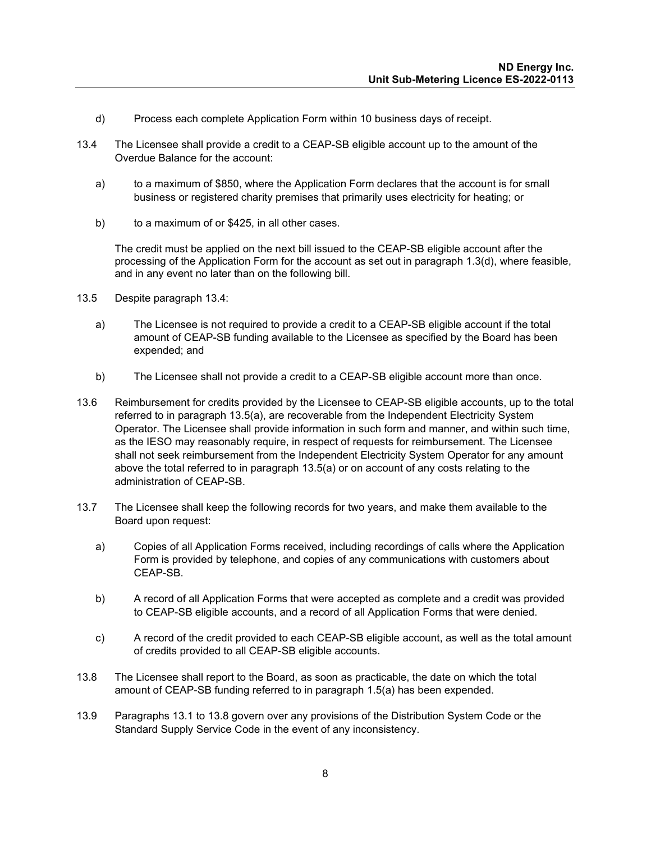- d) Process each complete Application Form within 10 business days of receipt.
- 13.4 The Licensee shall provide a credit to a CEAP-SB eligible account up to the amount of the Overdue Balance for the account:
	- a) to a maximum of \$850, where the Application Form declares that the account is for small business or registered charity premises that primarily uses electricity for heating; or
	- b) to a maximum of or \$425, in all other cases.

The credit must be applied on the next bill issued to the CEAP-SB eligible account after the processing of the Application Form for the account as set out in paragraph 1.3(d), where feasible, and in any event no later than on the following bill.

- 13.5 Despite paragraph 13.4:
	- a) The Licensee is not required to provide a credit to a CEAP-SB eligible account if the total amount of CEAP-SB funding available to the Licensee as specified by the Board has been expended; and
	- b) The Licensee shall not provide a credit to a CEAP-SB eligible account more than once.
- 13.6 Reimbursement for credits provided by the Licensee to CEAP-SB eligible accounts, up to the total referred to in paragraph 13.5(a), are recoverable from the Independent Electricity System Operator. The Licensee shall provide information in such form and manner, and within such time, as the IESO may reasonably require, in respect of requests for reimbursement. The Licensee shall not seek reimbursement from the Independent Electricity System Operator for any amount above the total referred to in paragraph 13.5(a) or on account of any costs relating to the administration of CEAP-SB.
- 13.7 The Licensee shall keep the following records for two years, and make them available to the Board upon request:
	- a) Copies of all Application Forms received, including recordings of calls where the Application Form is provided by telephone, and copies of any communications with customers about CEAP-SB.
	- b) A record of all Application Forms that were accepted as complete and a credit was provided to CEAP-SB eligible accounts, and a record of all Application Forms that were denied.
	- c) A record of the credit provided to each CEAP-SB eligible account, as well as the total amount of credits provided to all CEAP-SB eligible accounts.
- 13.8 The Licensee shall report to the Board, as soon as practicable, the date on which the total amount of CEAP-SB funding referred to in paragraph 1.5(a) has been expended.
- 13.9 Paragraphs 13.1 to 13.8 govern over any provisions of the Distribution System Code or the Standard Supply Service Code in the event of any inconsistency.